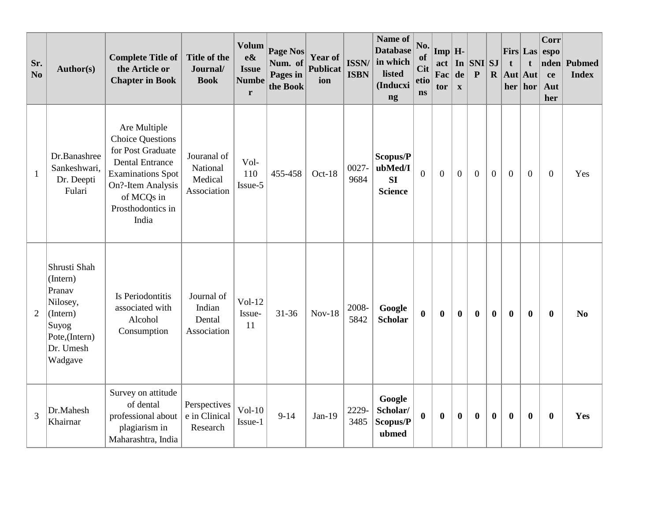| Sr.<br>No      | Author(s)                                                                                                    | <b>Complete Title of</b><br>the Article or<br><b>Chapter in Book</b>                                                                                                                | Title of the<br>Journal/<br><b>Book</b>           | <b>Volum</b><br>$e\&$<br><b>Issue</b><br><b>Numbe</b><br>r | Page Nos<br>Num. of<br>Pages in<br>the Book | <b>Year of</b><br><b>Publicat</b><br>ion | <b>ISSN/</b><br><b>ISBN</b> | Name of<br><b>Database</b><br>in which<br>listed<br>(Inducxi<br>ng | No.<br>of<br><b>Cit</b><br>etio<br><b>ns</b> | $\text{Imp}$ $\mid$ H-<br>act<br>Fac<br>tor | In<br>de<br>$\mathbf X$ | $\vert$ SNI $\vert$ SJ<br>$\mathbf{P}$ | $\mathbf{R}$     | $First$ Las<br>t<br>Aut Aut<br>her | t<br>hor         | Corr<br>espo<br>nden<br>ce<br>Aut<br>her | <b>Pubmed</b><br><b>Index</b> |
|----------------|--------------------------------------------------------------------------------------------------------------|-------------------------------------------------------------------------------------------------------------------------------------------------------------------------------------|---------------------------------------------------|------------------------------------------------------------|---------------------------------------------|------------------------------------------|-----------------------------|--------------------------------------------------------------------|----------------------------------------------|---------------------------------------------|-------------------------|----------------------------------------|------------------|------------------------------------|------------------|------------------------------------------|-------------------------------|
| $\mathbf{1}$   | Dr.Banashree<br>Sankeshwari,<br>Dr. Deepti<br>Fulari                                                         | Are Multiple<br><b>Choice Questions</b><br>for Post Graduate<br><b>Dental Entrance</b><br><b>Examinations Spot</b><br>On?-Item Analysis<br>of MCQs in<br>Prosthodontics in<br>India | Jouranal of<br>National<br>Medical<br>Association | Vol-<br>110<br>Issue-5                                     | 455-458                                     | $Oct-18$                                 | 0027-<br>9684               | Scopus/P<br>ubMed/I<br>SI<br><b>Science</b>                        | $\overline{0}$                               | $\mathbf{0}$                                | $\boldsymbol{0}$        | $\mathbf{0}$                           | $\boldsymbol{0}$ | $\mathbf{0}$                       | $\mathbf{0}$     | $\overline{0}$                           | Yes                           |
| $\overline{2}$ | Shrusti Shah<br>(Intern)<br>Pranav<br>Nilosey,<br>(Intern)<br>Suyog<br>Pote,(Intern)<br>Dr. Umesh<br>Wadgave | Is Periodontitis<br>associated with<br>Alcohol<br>Consumption                                                                                                                       | Journal of<br>Indian<br>Dental<br>Association     | $Vol-12$<br>Issue-<br>11                                   | $31 - 36$                                   | $Nov-18$                                 | 2008-<br>5842               | Google<br><b>Scholar</b>                                           | $\bf{0}$                                     | $\bf{0}$                                    | $\boldsymbol{0}$        | $\bf{0}$                               | $\bf{0}$         | $\bf{0}$                           | $\bf{0}$         | $\bf{0}$                                 | N <sub>0</sub>                |
| 3              | Dr.Mahesh<br>Khairnar                                                                                        | Survey on attitude<br>of dental<br>professional about<br>plagiarism in<br>Maharashtra, India                                                                                        | Perspectives<br>e in Clinical<br>Research         | $Vol-10$<br>Issue-1                                        | $9 - 14$                                    | $Jan-19$                                 | 2229-<br>3485               | Google<br>Scholar/<br>Scopus/P<br>ubmed                            | $\mathbf{0}$                                 | $\bf{0}$                                    | $\boldsymbol{0}$        | $\boldsymbol{0}$                       | $\bf{0}$         | $\bf{0}$                           | $\boldsymbol{0}$ | $\bf{0}$                                 | Yes                           |